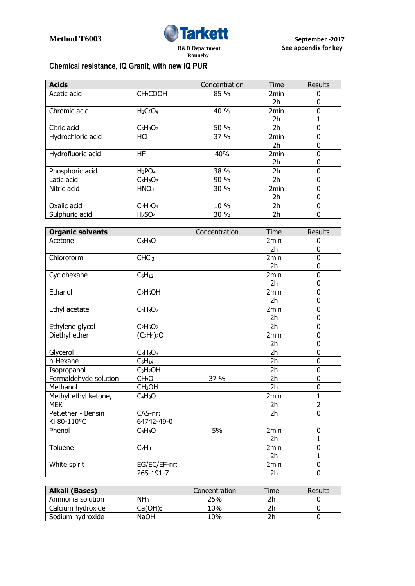

## **Chemical resistance, iQ Granit, with new iQ PUR**

| <b>Acids</b>      |                                 | Concentration | Time             | <b>Results</b> |
|-------------------|---------------------------------|---------------|------------------|----------------|
| Acetic acid       | CH <sub>3</sub> COOH            | 85 %          | 2 <sub>min</sub> | 0              |
|                   |                                 |               | 2h               | 0              |
| Chromic acid      | H <sub>2</sub> CrO <sub>4</sub> | 40 %          | 2 <sub>min</sub> | 0              |
|                   |                                 |               | 2h               |                |
| Citric acid       | $C_6H_8O_7$                     | 50 %          | 2h               | 0              |
| Hydrochloric acid | <b>HCI</b>                      | 37 %          | 2 <sub>min</sub> | 0              |
|                   |                                 |               | 2h               | 0              |
| Hydrofluoric acid | HF                              | 40%           | 2 <sub>min</sub> | 0              |
|                   |                                 |               | 2h               | 0              |
| Phosphoric acid   | $H_3PO_4$                       | 38 %          | 2h               | 0              |
| Latic acid        | $C_3H_6O_3$                     | 90 %          | 2h               | 0              |
| Nitric acid       | HNO <sub>3</sub>                | 30 %          | 2 <sub>min</sub> | 0              |
|                   |                                 |               | 2h               | 0              |
| Oxalic acid       | $C2H2O4$                        | 10 %          | 2h               | $\Omega$       |
| Sulphuric acid    | H <sub>2</sub> SO <sub>4</sub>  | 30 %          | 2h               | 0              |

| <b>Organic solvents</b> |                                  | Concentration | Time             | <b>Results</b> |
|-------------------------|----------------------------------|---------------|------------------|----------------|
| Acetone                 | $C_3H_6O$                        |               | 2 <sub>min</sub> | 0              |
|                         |                                  |               | 2h               | 0              |
| Chloroform              | CHCl <sub>3</sub>                |               | 2 <sub>min</sub> | 0              |
|                         |                                  |               | 2 <sub>h</sub>   | 0              |
| Cyclohexane             | $C_6H_{12}$                      |               | 2 <sub>min</sub> | 0              |
|                         |                                  |               | 2h               | 0              |
| Ethanol                 | C <sub>2</sub> H <sub>5</sub> OH |               | 2min             | 0              |
|                         |                                  |               | 2 <sub>h</sub>   | 0              |
| Ethyl acetate           | $C_4H_8O_2$                      |               | 2 <sub>min</sub> | 0              |
|                         |                                  |               | 2h               | 0              |
| Ethylene glycol         | $C_2H_6O_2$                      |               | 2h               | 0              |
| Diethyl ether           | $(C_2H_5)_2O$                    |               | 2min             | 0              |
|                         |                                  |               | 2 <sub>h</sub>   | 0              |
| Glycerol                | $C_3H_8O_3$                      |               | 2 <sub>h</sub>   | 0              |
| n-Hexane                | $C_6H_{14}$                      |               | 2h               | 0              |
| Isopropanol             | C <sub>3</sub> H <sub>7</sub> OH |               | 2h               | 0              |
| Formaldehyde solution   | CH <sub>2</sub> O                | 37 %          | 2h               | 0              |
| Methanol                | CH <sub>3</sub> OH               |               | 2h               | 0              |
| Methyl ethyl ketone,    | $C_4H_8O$                        |               | 2min             | $\mathbf{1}$   |
| <b>MEK</b>              |                                  |               | 2h               | $\overline{2}$ |
| Pet.ether - Bensin      | CAS-nr:                          |               | 2 <sub>h</sub>   | 0              |
| Ki 80-110°C             | 64742-49-0                       |               |                  |                |
| Phenol                  | $C_6H_6O$                        | 5%            | 2min             | 0              |
|                         |                                  |               | 2 <sub>h</sub>   | 1              |
| Toluene                 | C <sub>7</sub> H <sub>8</sub>    |               | 2min             | 0              |
|                         |                                  |               | 2h               | 1              |
| White spirit            | EG/EC/EF-nr:                     |               | 2min             | 0              |
|                         | 265-191-7                        |               | 2h               | 0              |

| Alkali (Bases)    |                     | Concentration | Time | <b>Results</b> |
|-------------------|---------------------|---------------|------|----------------|
| Ammonia solution  | NH <sub>3</sub>     | 25%           |      |                |
| Calcium hydroxide | Ca(OH) <sub>2</sub> | 10%           |      |                |
| Sodium hydroxide  | NaOH                | .0%           |      |                |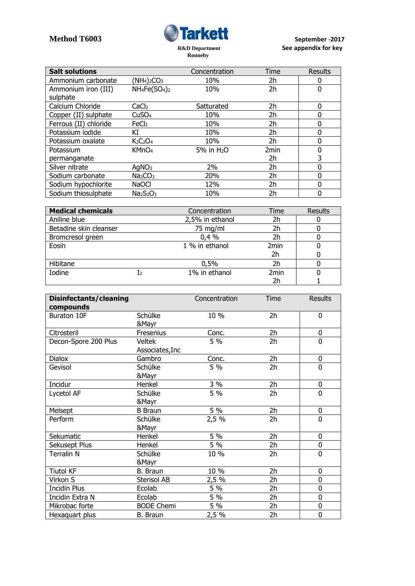

| <b>Salt solutions</b> |                                 | Concentration          | Time             | <b>Results</b> |
|-----------------------|---------------------------------|------------------------|------------------|----------------|
| Ammonium carbonate    | $(NH4)2CO3$                     | 10%                    | 2h               | 0              |
| Ammonium iron (III)   | $NH_4Fe(SO_4)_2$                | 10%                    | 2h               | 0              |
| sulphate              |                                 |                        |                  |                |
| Calcium Chloride      | CaCl <sub>2</sub>               | Satturated             | 2h               | 0              |
| Copper (II) sulphate  | CuSO <sub>4</sub>               | 10%                    | 2h               | 0              |
| Ferrous (II) chloride | FeCl <sub>2</sub>               | 10%                    | 2h               | 0              |
| Potassium iodide      | ΚI                              | 10%                    | 2h               | 0              |
| Potassium oxalate     | $K2C2O4$                        | 10%                    | 2h               | 0              |
| Potassium             | KMnO <sub>4</sub>               | 5% in H <sub>2</sub> O | 2 <sub>min</sub> | 0              |
| permanganate          |                                 |                        | 2h               | 3              |
| Silver nitrate        | AqNO <sub>3</sub>               | 2%                     | 2h               | 0              |
| Sodium carbonate      | Na <sub>2</sub> CO <sub>3</sub> | 20%                    | 2h               | 0              |
| Sodium hypochlorite   | <b>NaOCI</b>                    | 12%                    | 2h               | 0              |
| Sodium thiosulphate   | $Na2S2O3$                       | 10%                    | 2h               | 0              |

| <b>Medical chemicals</b> |    | Concentration   | Time             | <b>Results</b> |
|--------------------------|----|-----------------|------------------|----------------|
| Aniline blue             |    | 2,5% in ethanol | 2h               |                |
| Betadine skin cleanser   |    | 75 mg/ml        | 2h               |                |
| Bromcresol green         |    | 0.4%            | 2h               |                |
| Eosin                    |    | 1 % in ethanol  | 2min             |                |
|                          |    |                 | 2h               |                |
| Hibitane                 |    | 0,5%            | 2h               |                |
| Iodine                   | 12 | 1% in ethanol   | 2 <sub>min</sub> |                |
|                          |    |                 | 2h               |                |

| Disinfectants/cleaning<br>compounds |                                  | Concentration | Time           | <b>Results</b> |
|-------------------------------------|----------------------------------|---------------|----------------|----------------|
| Buraton 10F                         | Schülke<br>&Mayr                 | 10%           | 2h             | 0              |
| Citrosteril                         | Fresenius                        | Conc.         | 2h             | 0              |
| Decon-Spore 200 Plus                | <b>Veltek</b><br>Associates, Inc | 5 %           | 2h             | 0              |
| <b>Dialox</b>                       | Gambro                           | Conc.         | 2h             | 0              |
| Gevisol                             | Schülke<br>&Mayr                 | 5 %           | 2h             | 0              |
| Incidur                             | Henkel                           | 3 %           | 2h             | 0              |
| Lycetol AF                          | Schülke<br>&Mayr                 | 5 %           | 2h             | 0              |
| Melsept                             | <b>B</b> Braun                   | 5 %           | 2h             | 0              |
| Perform                             | Schülke<br>&Mayr                 | 2,5 %         | 2h             | $\overline{0}$ |
| Sekumatic                           | Henkel                           | 5 %           | 2h             | 0              |
| Sekusept Plus                       | Henkel                           | 5 %           | 2h             | 0              |
| Terralin N                          | Schülke<br>&Mayr                 | 10 %          | 2h             | 0              |
| <b>Tiutol KF</b>                    | B. Braun                         | 10 %          | 2 <sub>h</sub> | 0              |
| Virkon S                            | Sterisol AB                      | 2,5 %         | 2h             | 0              |
| <b>Incidin Plus</b>                 | Ecolab                           | 5 %           | 2h             | 0              |
| Incidin Extra N                     | Ecolab                           | 5 %           | 2h             | 0              |
| Mikrobac forte                      | <b>BODE Chemi</b>                | 5 %           | 2h             | 0              |
| Hexaguart plus                      | <b>B.</b> Braun                  | 2,5%          | 2h             | 0              |